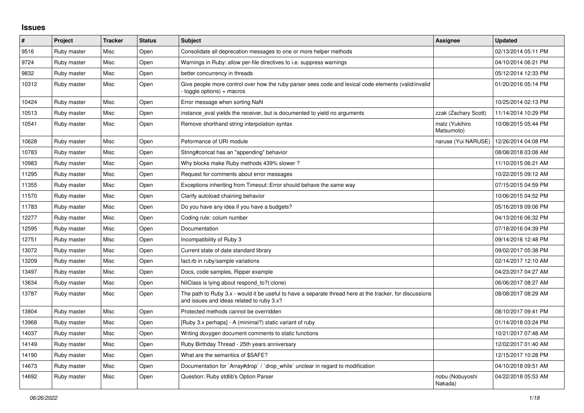## **Issues**

| #     | Project     | <b>Tracker</b> | <b>Status</b> | <b>Subject</b>                                                                                                                                        | Assignee                     | <b>Updated</b>      |
|-------|-------------|----------------|---------------|-------------------------------------------------------------------------------------------------------------------------------------------------------|------------------------------|---------------------|
| 9516  | Ruby master | Misc           | Open          | Consolidate all deprecation messages to one or more helper methods                                                                                    |                              | 02/13/2014 05:11 PM |
| 9724  | Ruby master | Misc           | Open          | Warnings in Ruby: allow per-file directives to i.e. suppress warnings                                                                                 |                              | 04/10/2014 06:21 PM |
| 9832  | Ruby master | <b>Misc</b>    | Open          | better concurrency in threads                                                                                                                         |                              | 05/12/2014 12:33 PM |
| 10312 | Ruby master | Misc           | Open          | Give people more control over how the ruby parser sees code and lexical code elements (valid/invalid<br>$to$ toggle options) + macros                 |                              | 01/20/2016 05:14 PM |
| 10424 | Ruby master | Misc           | Open          | Error message when sorting NaN                                                                                                                        |                              | 10/25/2014 02:13 PM |
| 10513 | Ruby master | Misc           | Open          | instance_eval yields the receiver, but is documented to yield no arguments                                                                            | zzak (Zachary Scott)         | 11/14/2014 10:29 PM |
| 10541 | Ruby master | Misc           | Open          | Remove shorthand string interpolation syntax                                                                                                          | matz (Yukihiro<br>Matsumoto) | 10/08/2015 05:44 PM |
| 10628 | Ruby master | Misc           | Open          | Peformance of URI module                                                                                                                              | naruse (Yui NARUSE)          | 12/26/2014 04:08 PM |
| 10783 | Ruby master | Misc           | Open          | String#concat has an "appending" behavior                                                                                                             |                              | 08/08/2018 03:08 AM |
| 10983 | Ruby master | Misc           | Open          | Why blocks make Ruby methods 439% slower?                                                                                                             |                              | 11/10/2015 06:21 AM |
| 11295 | Ruby master | <b>Misc</b>    | Open          | Request for comments about error messages                                                                                                             |                              | 10/22/2015 09:12 AM |
| 11355 | Ruby master | Misc           | Open          | Exceptions inheriting from Timeout:: Error should behave the same way                                                                                 |                              | 07/15/2015 04:59 PM |
| 11570 | Ruby master | Misc           | Open          | Clarify autoload chaining behavior                                                                                                                    |                              | 10/06/2015 04:52 PM |
| 11783 | Ruby master | Misc           | Open          | Do you have any idea if you have a budgets?                                                                                                           |                              | 05/16/2019 09:06 PM |
| 12277 | Ruby master | Misc           | Open          | Coding rule: colum number                                                                                                                             |                              | 04/13/2016 06:32 PM |
| 12595 | Ruby master | Misc           | Open          | Documentation                                                                                                                                         |                              | 07/18/2016 04:39 PM |
| 12751 | Ruby master | Misc           | Open          | Incompatibility of Ruby 3                                                                                                                             |                              | 09/14/2016 12:48 PM |
| 13072 | Ruby master | Misc           | Open          | Current state of date standard library                                                                                                                |                              | 09/02/2017 05:38 PM |
| 13209 | Ruby master | Misc           | Open          | fact.rb in ruby/sample variations                                                                                                                     |                              | 02/14/2017 12:10 AM |
| 13497 | Ruby master | Misc           | Open          | Docs, code samples, Ripper example                                                                                                                    |                              | 04/23/2017 04:27 AM |
| 13634 | Ruby master | Misc           | Open          | NilClass is lying about respond_to?(:clone)                                                                                                           |                              | 06/06/2017 08:27 AM |
| 13787 | Ruby master | Misc           | Open          | The path to Ruby 3.x - would it be useful to have a separate thread here at the tracker, for discussions<br>and issues and ideas related to ruby 3.x? |                              | 08/08/2017 08:29 AM |
| 13804 | Ruby master | Misc           | Open          | Protected methods cannot be overridden                                                                                                                |                              | 08/10/2017 09:41 PM |
| 13968 | Ruby master | <b>Misc</b>    | Open          | [Ruby 3.x perhaps] - A (minimal?) static variant of ruby                                                                                              |                              | 01/14/2018 03:24 PM |
| 14037 | Ruby master | Misc           | Open          | Writing doxygen document comments to static functions                                                                                                 |                              | 10/21/2017 07:48 AM |
| 14149 | Ruby master | Misc           | Open          | Ruby Birthday Thread - 25th years anniversary                                                                                                         |                              | 12/02/2017 01:40 AM |
| 14190 | Ruby master | Misc           | Open          | What are the semantics of \$SAFE?                                                                                                                     |                              | 12/15/2017 10:28 PM |
| 14673 | Ruby master | Misc           | Open          | Documentation for `Array#drop` / `drop_while` unclear in regard to modification                                                                       |                              | 04/10/2018 09:51 AM |
| 14692 | Ruby master | Misc           | Open          | Question: Ruby stdlib's Option Parser                                                                                                                 | nobu (Nobuyoshi<br>Nakada)   | 04/22/2018 05:53 AM |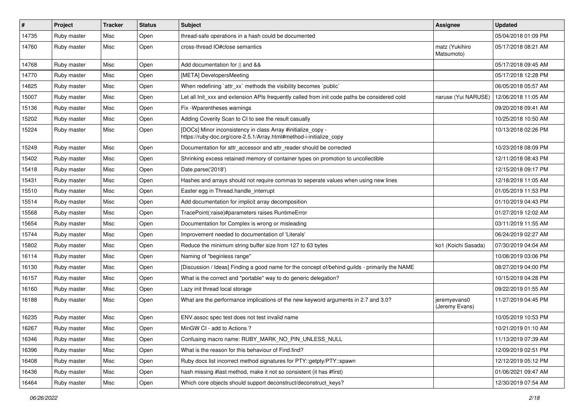| #     | Project     | <b>Tracker</b> | <b>Status</b> | Subject                                                                                                                             | Assignee                       | <b>Updated</b>      |
|-------|-------------|----------------|---------------|-------------------------------------------------------------------------------------------------------------------------------------|--------------------------------|---------------------|
| 14735 | Ruby master | Misc           | Open          | thread-safe operations in a hash could be documented                                                                                |                                | 05/04/2018 01:09 PM |
| 14760 | Ruby master | Misc           | Open          | cross-thread IO#close semantics                                                                                                     | matz (Yukihiro<br>Matsumoto)   | 05/17/2018 08:21 AM |
| 14768 | Ruby master | Misc           | Open          | Add documentation for    and &&                                                                                                     |                                | 05/17/2018 09:45 AM |
| 14770 | Ruby master | Misc           | Open          | [META] DevelopersMeeting                                                                                                            |                                | 05/17/2018 12:28 PM |
| 14825 | Ruby master | Misc           | Open          | When redefining `attr_xx` methods the visibility becomes `public`                                                                   |                                | 06/05/2018 05:57 AM |
| 15007 | Ruby master | Misc           | Open          | Let all Init_xxx and extension APIs frequently called from init code paths be considered cold                                       | naruse (Yui NARUSE)            | 12/06/2018 11:05 AM |
| 15136 | Ruby master | Misc           | Open          | Fix - Wparentheses warnings                                                                                                         |                                | 09/20/2018 09:41 AM |
| 15202 | Ruby master | Misc           | Open          | Adding Coverity Scan to CI to see the result casually                                                                               |                                | 10/25/2018 10:50 AM |
| 15224 | Ruby master | Misc           | Open          | [DOCs] Minor inconsistency in class Array #initialize_copy -<br>https://ruby-doc.org/core-2.5.1/Array.html#method-i-initialize_copy |                                | 10/13/2018 02:26 PM |
| 15249 | Ruby master | Misc           | Open          | Documentation for attr_accessor and attr_reader should be corrected                                                                 |                                | 10/23/2018 08:09 PM |
| 15402 | Ruby master | Misc           | Open          | Shrinking excess retained memory of container types on promotion to uncollectible                                                   |                                | 12/11/2018 08:43 PM |
| 15418 | Ruby master | Misc           | Open          | Date.parse('2018')                                                                                                                  |                                | 12/15/2018 09:17 PM |
| 15431 | Ruby master | Misc           | Open          | Hashes and arrays should not require commas to seperate values when using new lines                                                 |                                | 12/18/2018 11:05 AM |
| 15510 | Ruby master | Misc           | Open          | Easter egg in Thread.handle_interrupt                                                                                               |                                | 01/05/2019 11:53 PM |
| 15514 | Ruby master | Misc           | Open          | Add documentation for implicit array decomposition                                                                                  |                                | 01/10/2019 04:43 PM |
| 15568 | Ruby master | Misc           | Open          | TracePoint(:raise)#parameters raises RuntimeError                                                                                   |                                | 01/27/2019 12:02 AM |
| 15654 | Ruby master | Misc           | Open          | Documentation for Complex is wrong or misleading                                                                                    |                                | 03/11/2019 11:55 AM |
| 15744 | Ruby master | Misc           | Open          | Improvement needed to documentation of 'Literals'                                                                                   |                                | 06/24/2019 02:27 AM |
| 15802 | Ruby master | Misc           | Open          | Reduce the minimum string buffer size from 127 to 63 bytes                                                                          | ko1 (Koichi Sasada)            | 07/30/2019 04:04 AM |
| 16114 | Ruby master | Misc           | Open          | Naming of "beginless range"                                                                                                         |                                | 10/08/2019 03:06 PM |
| 16130 | Ruby master | Misc           | Open          | [Discussion / Ideas] Finding a good name for the concept of/behind guilds - primarily the NAME                                      |                                | 08/27/2019 04:00 PM |
| 16157 | Ruby master | Misc           | Open          | What is the correct and *portable* way to do generic delegation?                                                                    |                                | 10/15/2019 04:28 PM |
| 16160 | Ruby master | Misc           | Open          | Lazy init thread local storage                                                                                                      |                                | 09/22/2019 01:55 AM |
| 16188 | Ruby master | Misc           | Open          | What are the performance implications of the new keyword arguments in 2.7 and 3.0?                                                  | jeremyevans0<br>(Jeremy Evans) | 11/27/2019 04:45 PM |
| 16235 | Ruby master | Misc           | Open          | ENV.assoc spec test does not test invalid name                                                                                      |                                | 10/05/2019 10:53 PM |
| 16267 | Ruby master | Misc           | Open          | MinGW CI - add to Actions ?                                                                                                         |                                | 10/21/2019 01:10 AM |
| 16346 | Ruby master | Misc           | Open          | Confusing macro name: RUBY MARK NO PIN UNLESS NULL                                                                                  |                                | 11/13/2019 07:39 AM |
| 16396 | Ruby master | Misc           | Open          | What is the reason for this behaviour of Find.find?                                                                                 |                                | 12/09/2019 02:51 PM |
| 16408 | Ruby master | Misc           | Open          | Ruby docs list incorrect method signatures for PTY::getpty/PTY::spawn                                                               |                                | 12/12/2019 05:12 PM |
| 16436 | Ruby master | Misc           | Open          | hash missing #last method, make it not so consistent (it has #first)                                                                |                                | 01/06/2021 09:47 AM |
| 16464 | Ruby master | Misc           | Open          | Which core objects should support deconstruct/deconstruct_keys?                                                                     |                                | 12/30/2019 07:54 AM |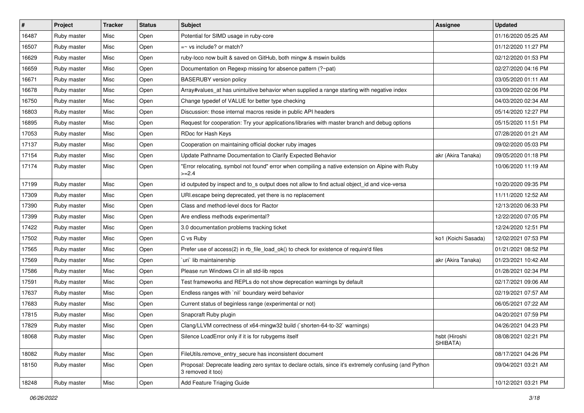| $\vert$ # | Project     | <b>Tracker</b> | <b>Status</b> | Subject                                                                                                                    | Assignee                  | <b>Updated</b>      |
|-----------|-------------|----------------|---------------|----------------------------------------------------------------------------------------------------------------------------|---------------------------|---------------------|
| 16487     | Ruby master | Misc           | Open          | Potential for SIMD usage in ruby-core                                                                                      |                           | 01/16/2020 05:25 AM |
| 16507     | Ruby master | Misc           | Open          | $=$ vs include? or match?                                                                                                  |                           | 01/12/2020 11:27 PM |
| 16629     | Ruby master | Misc           | Open          | ruby-loco now built & saved on GitHub, both mingw & mswin builds                                                           |                           | 02/12/2020 01:53 PM |
| 16659     | Ruby master | Misc           | Open          | Documentation on Regexp missing for absence pattern (?~pat)                                                                |                           | 02/27/2020 04:16 PM |
| 16671     | Ruby master | Misc           | Open          | <b>BASERUBY</b> version policy                                                                                             |                           | 03/05/2020 01:11 AM |
| 16678     | Ruby master | Misc           | Open          | Array#values_at has unintuitive behavior when supplied a range starting with negative index                                |                           | 03/09/2020 02:06 PM |
| 16750     | Ruby master | Misc           | Open          | Change typedef of VALUE for better type checking                                                                           |                           | 04/03/2020 02:34 AM |
| 16803     | Ruby master | Misc           | Open          | Discussion: those internal macros reside in public API headers                                                             |                           | 05/14/2020 12:27 PM |
| 16895     | Ruby master | Misc           | Open          | Request for cooperation: Try your applications/libraries with master branch and debug options                              |                           | 05/15/2020 11:51 PM |
| 17053     | Ruby master | Misc           | Open          | RDoc for Hash Keys                                                                                                         |                           | 07/28/2020 01:21 AM |
| 17137     | Ruby master | Misc           | Open          | Cooperation on maintaining official docker ruby images                                                                     |                           | 09/02/2020 05:03 PM |
| 17154     | Ruby master | Misc           | Open          | Update Pathname Documentation to Clarify Expected Behavior                                                                 | akr (Akira Tanaka)        | 09/05/2020 01:18 PM |
| 17174     | Ruby master | Misc           | Open          | "Error relocating, symbol not found" error when compiling a native extension on Alpine with Ruby<br>$>=2.4$                |                           | 10/06/2020 11:19 AM |
| 17199     | Ruby master | Misc           | Open          | id outputed by inspect and to_s output does not allow to find actual object_id and vice-versa                              |                           | 10/20/2020 09:35 PM |
| 17309     | Ruby master | Misc           | Open          | URI.escape being deprecated, yet there is no replacement                                                                   |                           | 11/11/2020 12:52 AM |
| 17390     | Ruby master | Misc           | Open          | Class and method-level docs for Ractor                                                                                     |                           | 12/13/2020 06:33 PM |
| 17399     | Ruby master | Misc           | Open          | Are endless methods experimental?                                                                                          |                           | 12/22/2020 07:05 PM |
| 17422     | Ruby master | Misc           | Open          | 3.0 documentation problems tracking ticket                                                                                 |                           | 12/24/2020 12:51 PM |
| 17502     | Ruby master | Misc           | Open          | C vs Ruby                                                                                                                  | ko1 (Koichi Sasada)       | 12/02/2021 07:53 PM |
| 17565     | Ruby master | Misc           | Open          | Prefer use of access(2) in rb_file_load_ok() to check for existence of require'd files                                     |                           | 01/21/2021 08:52 PM |
| 17569     | Ruby master | Misc           | Open          | uri lib maintainership                                                                                                     | akr (Akira Tanaka)        | 01/23/2021 10:42 AM |
| 17586     | Ruby master | Misc           | Open          | Please run Windows CI in all std-lib repos                                                                                 |                           | 01/28/2021 02:34 PM |
| 17591     | Ruby master | Misc           | Open          | Test frameworks and REPLs do not show deprecation warnings by default                                                      |                           | 02/17/2021 09:06 AM |
| 17637     | Ruby master | Misc           | Open          | Endless ranges with 'nil' boundary weird behavior                                                                          |                           | 02/19/2021 07:57 AM |
| 17683     | Ruby master | Misc           | Open          | Current status of beginless range (experimental or not)                                                                    |                           | 06/05/2021 07:22 AM |
| 17815     | Ruby master | Misc           | Open          | Snapcraft Ruby plugin                                                                                                      |                           | 04/20/2021 07:59 PM |
| 17829     | Ruby master | Misc           | Open          | Clang/LLVM correctness of x64-mingw32 build (`shorten-64-to-32` warnings)                                                  |                           | 04/26/2021 04:23 PM |
| 18068     | Ruby master | Misc           | Open          | Silence LoadError only if it is for rubygems itself                                                                        | hsbt (Hiroshi<br>SHIBATA) | 08/08/2021 02:21 PM |
| 18082     | Ruby master | Misc           | Open          | FileUtils.remove entry secure has inconsistent document                                                                    |                           | 08/17/2021 04:26 PM |
| 18150     | Ruby master | Misc           | Open          | Proposal: Deprecate leading zero syntax to declare octals, since it's extremely confusing (and Python<br>3 removed it too) |                           | 09/04/2021 03:21 AM |
| 18248     | Ruby master | Misc           | Open          | Add Feature Triaging Guide                                                                                                 |                           | 10/12/2021 03:21 PM |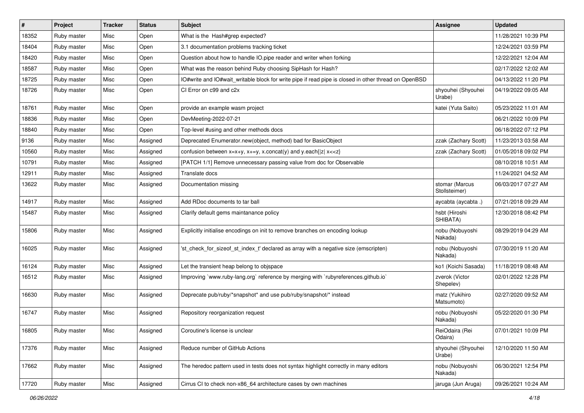| ∦     | Project     | <b>Tracker</b> | <b>Status</b> | <b>Subject</b>                                                                                       | <b>Assignee</b>                 | <b>Updated</b>      |
|-------|-------------|----------------|---------------|------------------------------------------------------------------------------------------------------|---------------------------------|---------------------|
| 18352 | Ruby master | Misc           | Open          | What is the Hash#grep expected?                                                                      |                                 | 11/28/2021 10:39 PM |
| 18404 | Ruby master | Misc           | Open          | 3.1 documentation problems tracking ticket                                                           |                                 | 12/24/2021 03:59 PM |
| 18420 | Ruby master | Misc           | Open          | Question about how to handle IO.pipe reader and writer when forking                                  |                                 | 12/22/2021 12:04 AM |
| 18587 | Ruby master | Misc           | Open          | What was the reason behind Ruby choosing SipHash for Hash?                                           |                                 | 02/17/2022 12:02 AM |
| 18725 | Ruby master | Misc           | Open          | IO#write and IO#wait writable block for write pipe if read pipe is closed in other thread on OpenBSD |                                 | 04/13/2022 11:20 PM |
| 18726 | Ruby master | Misc           | Open          | CI Error on c99 and c2x                                                                              | shyouhei (Shyouhei<br>Urabe)    | 04/19/2022 09:05 AM |
| 18761 | Ruby master | Misc           | Open          | provide an example wasm project                                                                      | katei (Yuta Saito)              | 05/23/2022 11:01 AM |
| 18836 | Ruby master | Misc           | Open          | DevMeeting-2022-07-21                                                                                |                                 | 06/21/2022 10:09 PM |
| 18840 | Ruby master | Misc           | Open          | Top-level #using and other methods docs                                                              |                                 | 06/18/2022 07:12 PM |
| 9136  | Ruby master | Misc           | Assigned      | Deprecated Enumerator.new(object, method) bad for BasicObject                                        | zzak (Zachary Scott)            | 11/23/2013 03:58 AM |
| 10560 | Ruby master | Misc           | Assigned      | confusion between $x=x+y$ , $x+=y$ , x.concat(y) and y.each{ z  $x<}$                                | zzak (Zachary Scott)            | 01/05/2018 09:02 PM |
| 10791 | Ruby master | Misc           | Assigned      | [PATCH 1/1] Remove unnecessary passing value from doc for Observable                                 |                                 | 08/10/2018 10:51 AM |
| 12911 | Ruby master | Misc           | Assigned      | Translate docs                                                                                       |                                 | 11/24/2021 04:52 AM |
| 13622 | Ruby master | Misc           | Assigned      | Documentation missing                                                                                | stomar (Marcus<br>Stollsteimer) | 06/03/2017 07:27 AM |
| 14917 | Ruby master | Misc           | Assigned      | Add RDoc documents to tar ball                                                                       | aycabta (aycabta.)              | 07/21/2018 09:29 AM |
| 15487 | Ruby master | Misc           | Assigned      | Clarify default gems maintanance policy                                                              | hsbt (Hiroshi<br>SHIBATA)       | 12/30/2018 08:42 PM |
| 15806 | Ruby master | Misc           | Assigned      | Explicitly initialise encodings on init to remove branches on encoding lookup                        | nobu (Nobuyoshi<br>Nakada)      | 08/29/2019 04:29 AM |
| 16025 | Ruby master | Misc           | Assigned      | 'st_check_for_sizeof_st_index_t' declared as array with a negative size (emscripten)                 | nobu (Nobuyoshi<br>Nakada)      | 07/30/2019 11:20 AM |
| 16124 | Ruby master | Misc           | Assigned      | Let the transient heap belong to objspace                                                            | ko1 (Koichi Sasada)             | 11/18/2019 08:48 AM |
| 16512 | Ruby master | Misc           | Assigned      | Improving `www.ruby-lang.org` reference by merging with `rubyreferences.github.io`                   | zverok (Victor<br>Shepelev)     | 02/01/2022 12:28 PM |
| 16630 | Ruby master | Misc           | Assigned      | Deprecate pub/ruby/*snapshot* and use pub/ruby/snapshot/* instead                                    | matz (Yukihiro<br>Matsumoto)    | 02/27/2020 09:52 AM |
| 16747 | Ruby master | Misc           | Assigned      | Repository reorganization request                                                                    | nobu (Nobuyoshi<br>Nakada)      | 05/22/2020 01:30 PM |
| 16805 | Ruby master | Misc           | Assigned      | Coroutine's license is unclear                                                                       | ReiOdaira (Rei<br>Odaira)       | 07/01/2021 10:09 PM |
| 17376 | Ruby master | Misc           | Assigned      | Reduce number of GitHub Actions                                                                      | shyouhei (Shyouhei<br>Urabe)    | 12/10/2020 11:50 AM |
| 17662 | Ruby master | Misc           | Assigned      | The heredoc pattern used in tests does not syntax highlight correctly in many editors                | nobu (Nobuyoshi<br>Nakada)      | 06/30/2021 12:54 PM |
| 17720 | Ruby master | Misc           | Assigned      | Cirrus CI to check non-x86_64 architecture cases by own machines                                     | jaruga (Jun Aruga)              | 09/26/2021 10:24 AM |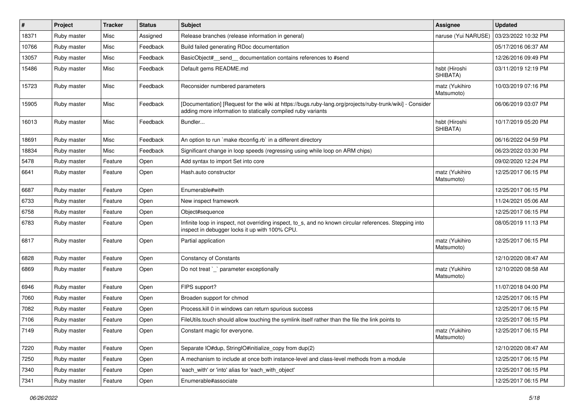| #     | Project     | <b>Tracker</b> | <b>Status</b> | Subject                                                                                                                                                                  | <b>Assignee</b>              | <b>Updated</b>      |
|-------|-------------|----------------|---------------|--------------------------------------------------------------------------------------------------------------------------------------------------------------------------|------------------------------|---------------------|
| 18371 | Ruby master | Misc           | Assigned      | Release branches (release information in general)                                                                                                                        | naruse (Yui NARUSE)          | 03/23/2022 10:32 PM |
| 10766 | Ruby master | Misc           | Feedback      | Build failed generating RDoc documentation                                                                                                                               |                              | 05/17/2016 06:37 AM |
| 13057 | Ruby master | Misc           | Feedback      | BasicObject# send documentation contains references to #send                                                                                                             |                              | 12/26/2016 09:49 PM |
| 15486 | Ruby master | Misc           | Feedback      | Default gems README.md                                                                                                                                                   | hsbt (Hiroshi<br>SHIBATA)    | 03/11/2019 12:19 PM |
| 15723 | Ruby master | Misc           | Feedback      | Reconsider numbered parameters                                                                                                                                           | matz (Yukihiro<br>Matsumoto) | 10/03/2019 07:16 PM |
| 15905 | Ruby master | Misc           | Feedback      | [Documentation] [Request for the wiki at https://bugs.ruby-lang.org/projects/ruby-trunk/wiki] - Consider<br>adding more information to statically compiled ruby variants |                              | 06/06/2019 03:07 PM |
| 16013 | Ruby master | Misc           | Feedback      | Bundler                                                                                                                                                                  | hsbt (Hiroshi<br>SHIBATA)    | 10/17/2019 05:20 PM |
| 18691 | Ruby master | Misc           | Feedback      | An option to run `make rbconfig.rb` in a different directory                                                                                                             |                              | 06/16/2022 04:59 PM |
| 18834 | Ruby master | Misc           | Feedback      | Significant change in loop speeds (regressing using while loop on ARM chips)                                                                                             |                              | 06/23/2022 03:30 PM |
| 5478  | Ruby master | Feature        | Open          | Add syntax to import Set into core                                                                                                                                       |                              | 09/02/2020 12:24 PM |
| 6641  | Ruby master | Feature        | Open          | Hash.auto constructor                                                                                                                                                    | matz (Yukihiro<br>Matsumoto) | 12/25/2017 06:15 PM |
| 6687  | Ruby master | Feature        | Open          | Enumerable#with                                                                                                                                                          |                              | 12/25/2017 06:15 PM |
| 6733  | Ruby master | Feature        | Open          | New inspect framework                                                                                                                                                    |                              | 11/24/2021 05:06 AM |
| 6758  | Ruby master | Feature        | Open          | Object#sequence                                                                                                                                                          |                              | 12/25/2017 06:15 PM |
| 6783  | Ruby master | Feature        | Open          | Infinite loop in inspect, not overriding inspect, to_s, and no known circular references. Stepping into<br>inspect in debugger locks it up with 100% CPU.                |                              | 08/05/2019 11:13 PM |
| 6817  | Ruby master | Feature        | Open          | Partial application                                                                                                                                                      | matz (Yukihiro<br>Matsumoto) | 12/25/2017 06:15 PM |
| 6828  | Ruby master | Feature        | Open          | <b>Constancy of Constants</b>                                                                                                                                            |                              | 12/10/2020 08:47 AM |
| 6869  | Ruby master | Feature        | Open          | Do not treat `_` parameter exceptionally                                                                                                                                 | matz (Yukihiro<br>Matsumoto) | 12/10/2020 08:58 AM |
| 6946  | Ruby master | Feature        | Open          | FIPS support?                                                                                                                                                            |                              | 11/07/2018 04:00 PM |
| 7060  | Ruby master | Feature        | Open          | Broaden support for chmod                                                                                                                                                |                              | 12/25/2017 06:15 PM |
| 7082  | Ruby master | Feature        | Open          | Process.kill 0 in windows can return spurious success                                                                                                                    |                              | 12/25/2017 06:15 PM |
| 7106  | Ruby master | Feature        | Open          | FileUtils.touch should allow touching the symlink itself rather than the file the link points to                                                                         |                              | 12/25/2017 06:15 PM |
| 7149  | Ruby master | Feature        | Open          | Constant magic for everyone.                                                                                                                                             | matz (Yukihiro<br>Matsumoto) | 12/25/2017 06:15 PM |
| 7220  | Ruby master | Feature        | Open          | Separate IO#dup, StringIO#initialize_copy from dup(2)                                                                                                                    |                              | 12/10/2020 08:47 AM |
| 7250  | Ruby master | Feature        | Open          | A mechanism to include at once both instance-level and class-level methods from a module                                                                                 |                              | 12/25/2017 06:15 PM |
| 7340  | Ruby master | Feature        | Open          | 'each with' or 'into' alias for 'each with object'                                                                                                                       |                              | 12/25/2017 06:15 PM |
| 7341  | Ruby master | Feature        | Open          | Enumerable#associate                                                                                                                                                     |                              | 12/25/2017 06:15 PM |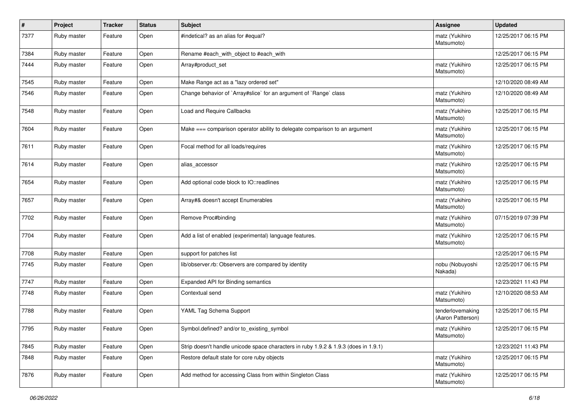| #    | Project     | <b>Tracker</b> | <b>Status</b> | <b>Subject</b>                                                                      | <b>Assignee</b>                       | <b>Updated</b>      |
|------|-------------|----------------|---------------|-------------------------------------------------------------------------------------|---------------------------------------|---------------------|
| 7377 | Ruby master | Feature        | Open          | #indetical? as an alias for #equal?                                                 | matz (Yukihiro<br>Matsumoto)          | 12/25/2017 06:15 PM |
| 7384 | Ruby master | Feature        | Open          | Rename #each with object to #each with                                              |                                       | 12/25/2017 06:15 PM |
| 7444 | Ruby master | Feature        | Open          | Array#product_set                                                                   | matz (Yukihiro<br>Matsumoto)          | 12/25/2017 06:15 PM |
| 7545 | Ruby master | Feature        | Open          | Make Range act as a "lazy ordered set"                                              |                                       | 12/10/2020 08:49 AM |
| 7546 | Ruby master | Feature        | Open          | Change behavior of `Array#slice` for an argument of `Range` class                   | matz (Yukihiro<br>Matsumoto)          | 12/10/2020 08:49 AM |
| 7548 | Ruby master | Feature        | Open          | Load and Require Callbacks                                                          | matz (Yukihiro<br>Matsumoto)          | 12/25/2017 06:15 PM |
| 7604 | Ruby master | Feature        | Open          | Make === comparison operator ability to delegate comparison to an argument          | matz (Yukihiro<br>Matsumoto)          | 12/25/2017 06:15 PM |
| 7611 | Ruby master | Feature        | Open          | Focal method for all loads/requires                                                 | matz (Yukihiro<br>Matsumoto)          | 12/25/2017 06:15 PM |
| 7614 | Ruby master | Feature        | Open          | alias_accessor                                                                      | matz (Yukihiro<br>Matsumoto)          | 12/25/2017 06:15 PM |
| 7654 | Ruby master | Feature        | Open          | Add optional code block to IO::readlines                                            | matz (Yukihiro<br>Matsumoto)          | 12/25/2017 06:15 PM |
| 7657 | Ruby master | Feature        | Open          | Array#& doesn't accept Enumerables                                                  | matz (Yukihiro<br>Matsumoto)          | 12/25/2017 06:15 PM |
| 7702 | Ruby master | Feature        | Open          | Remove Proc#binding                                                                 | matz (Yukihiro<br>Matsumoto)          | 07/15/2019 07:39 PM |
| 7704 | Ruby master | Feature        | Open          | Add a list of enabled (experimental) language features.                             | matz (Yukihiro<br>Matsumoto)          | 12/25/2017 06:15 PM |
| 7708 | Ruby master | Feature        | Open          | support for patches list                                                            |                                       | 12/25/2017 06:15 PM |
| 7745 | Ruby master | Feature        | Open          | lib/observer.rb: Observers are compared by identity                                 | nobu (Nobuyoshi<br>Nakada)            | 12/25/2017 06:15 PM |
| 7747 | Ruby master | Feature        | Open          | Expanded API for Binding semantics                                                  |                                       | 12/23/2021 11:43 PM |
| 7748 | Ruby master | Feature        | Open          | Contextual send                                                                     | matz (Yukihiro<br>Matsumoto)          | 12/10/2020 08:53 AM |
| 7788 | Ruby master | Feature        | Open          | YAML Tag Schema Support                                                             | tenderlovemaking<br>(Aaron Patterson) | 12/25/2017 06:15 PM |
| 7795 | Ruby master | Feature        | Open          | Symbol.defined? and/or to_existing_symbol                                           | matz (Yukihiro<br>Matsumoto)          | 12/25/2017 06:15 PM |
| 7845 | Ruby master | Feature        | Open          | Strip doesn't handle unicode space characters in ruby 1.9.2 & 1.9.3 (does in 1.9.1) |                                       | 12/23/2021 11:43 PM |
| 7848 | Ruby master | Feature        | Open          | Restore default state for core ruby objects                                         | matz (Yukihiro<br>Matsumoto)          | 12/25/2017 06:15 PM |
| 7876 | Ruby master | Feature        | Open          | Add method for accessing Class from within Singleton Class                          | matz (Yukihiro<br>Matsumoto)          | 12/25/2017 06:15 PM |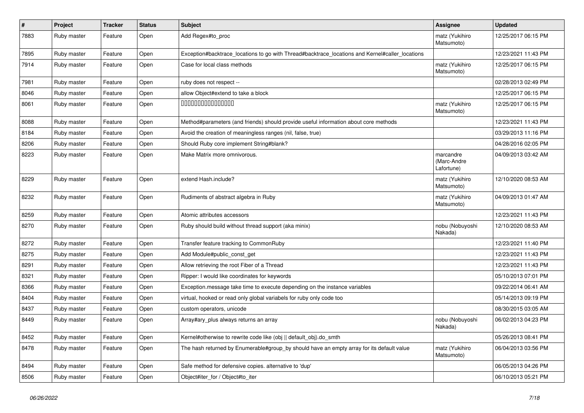| $\pmb{\#}$ | Project     | <b>Tracker</b> | <b>Status</b> | <b>Subject</b>                                                                                  | Assignee                               | <b>Updated</b>      |
|------------|-------------|----------------|---------------|-------------------------------------------------------------------------------------------------|----------------------------------------|---------------------|
| 7883       | Ruby master | Feature        | Open          | Add Regex#to proc                                                                               | matz (Yukihiro<br>Matsumoto)           | 12/25/2017 06:15 PM |
| 7895       | Ruby master | Feature        | Open          | Exception#backtrace_locations to go with Thread#backtrace_locations and Kernel#caller_locations |                                        | 12/23/2021 11:43 PM |
| 7914       | Ruby master | Feature        | Open          | Case for local class methods                                                                    | matz (Yukihiro<br>Matsumoto)           | 12/25/2017 06:15 PM |
| 7981       | Ruby master | Feature        | Open          | ruby does not respect --                                                                        |                                        | 02/28/2013 02:49 PM |
| 8046       | Ruby master | Feature        | Open          | allow Object#extend to take a block                                                             |                                        | 12/25/2017 06:15 PM |
| 8061       | Ruby master | Feature        | Open          | 000000000000000                                                                                 | matz (Yukihiro<br>Matsumoto)           | 12/25/2017 06:15 PM |
| 8088       | Ruby master | Feature        | Open          | Method#parameters (and friends) should provide useful information about core methods            |                                        | 12/23/2021 11:43 PM |
| 8184       | Ruby master | Feature        | Open          | Avoid the creation of meaningless ranges (nil, false, true)                                     |                                        | 03/29/2013 11:16 PM |
| 8206       | Ruby master | Feature        | Open          | Should Ruby core implement String#blank?                                                        |                                        | 04/28/2016 02:05 PM |
| 8223       | Ruby master | Feature        | Open          | Make Matrix more omnivorous.                                                                    | marcandre<br>(Marc-Andre<br>Lafortune) | 04/09/2013 03:42 AM |
| 8229       | Ruby master | Feature        | Open          | extend Hash.include?                                                                            | matz (Yukihiro<br>Matsumoto)           | 12/10/2020 08:53 AM |
| 8232       | Ruby master | Feature        | Open          | Rudiments of abstract algebra in Ruby                                                           | matz (Yukihiro<br>Matsumoto)           | 04/09/2013 01:47 AM |
| 8259       | Ruby master | Feature        | Open          | Atomic attributes accessors                                                                     |                                        | 12/23/2021 11:43 PM |
| 8270       | Ruby master | Feature        | Open          | Ruby should build without thread support (aka minix)                                            | nobu (Nobuyoshi<br>Nakada)             | 12/10/2020 08:53 AM |
| 8272       | Ruby master | Feature        | Open          | Transfer feature tracking to CommonRuby                                                         |                                        | 12/23/2021 11:40 PM |
| 8275       | Ruby master | Feature        | Open          | Add Module#public_const_get                                                                     |                                        | 12/23/2021 11:43 PM |
| 8291       | Ruby master | Feature        | Open          | Allow retrieving the root Fiber of a Thread                                                     |                                        | 12/23/2021 11:43 PM |
| 8321       | Ruby master | Feature        | Open          | Ripper: I would like coordinates for keywords                                                   |                                        | 05/10/2013 07:01 PM |
| 8366       | Ruby master | Feature        | Open          | Exception message take time to execute depending on the instance variables                      |                                        | 09/22/2014 06:41 AM |
| 8404       | Ruby master | Feature        | Open          | virtual, hooked or read only global variabels for ruby only code too                            |                                        | 05/14/2013 09:19 PM |
| 8437       | Ruby master | Feature        | Open          | custom operators, unicode                                                                       |                                        | 08/30/2015 03:05 AM |
| 8449       | Ruby master | Feature        | Open          | Array#ary_plus always returns an array                                                          | nobu (Nobuyoshi<br>Nakada)             | 06/02/2013 04:23 PM |
| 8452       | Ruby master | Feature        | Open          | Kernel#otherwise to rewrite code like (obj    default obj).do smth                              |                                        | 05/26/2013 08:41 PM |
| 8478       | Ruby master | Feature        | Open          | The hash returned by Enumerable#group_by should have an empty array for its default value       | matz (Yukihiro<br>Matsumoto)           | 06/04/2013 03:56 PM |
| 8494       | Ruby master | Feature        | Open          | Safe method for defensive copies. alternative to 'dup'                                          |                                        | 06/05/2013 04:26 PM |
| 8506       | Ruby master | Feature        | Open          | Object#iter for / Object#to iter                                                                |                                        | 06/10/2013 05:21 PM |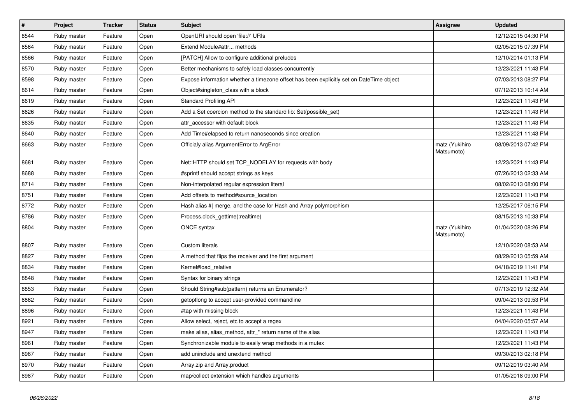| $\vert$ # | Project     | <b>Tracker</b> | <b>Status</b> | <b>Subject</b>                                                                          | <b>Assignee</b>              | <b>Updated</b>      |
|-----------|-------------|----------------|---------------|-----------------------------------------------------------------------------------------|------------------------------|---------------------|
| 8544      | Ruby master | Feature        | Open          | OpenURI should open 'file://' URIs                                                      |                              | 12/12/2015 04:30 PM |
| 8564      | Ruby master | Feature        | Open          | Extend Module#attr methods                                                              |                              | 02/05/2015 07:39 PM |
| 8566      | Ruby master | Feature        | Open          | [PATCH] Allow to configure additional preludes                                          |                              | 12/10/2014 01:13 PM |
| 8570      | Ruby master | Feature        | Open          | Better mechanisms to safely load classes concurrently                                   |                              | 12/23/2021 11:43 PM |
| 8598      | Ruby master | Feature        | Open          | Expose information whether a timezone offset has been explicitly set on DateTime object |                              | 07/03/2013 08:27 PM |
| 8614      | Ruby master | Feature        | Open          | Object#singleton class with a block                                                     |                              | 07/12/2013 10:14 AM |
| 8619      | Ruby master | Feature        | Open          | <b>Standard Profiling API</b>                                                           |                              | 12/23/2021 11:43 PM |
| 8626      | Ruby master | Feature        | Open          | Add a Set coercion method to the standard lib: Set (possible set)                       |                              | 12/23/2021 11:43 PM |
| 8635      | Ruby master | Feature        | Open          | attr accessor with default block                                                        |                              | 12/23/2021 11:43 PM |
| 8640      | Ruby master | Feature        | Open          | Add Time#elapsed to return nanoseconds since creation                                   |                              | 12/23/2021 11:43 PM |
| 8663      | Ruby master | Feature        | Open          | Officialy alias ArgumentError to ArgError                                               | matz (Yukihiro<br>Matsumoto) | 08/09/2013 07:42 PM |
| 8681      | Ruby master | Feature        | Open          | Net::HTTP should set TCP_NODELAY for requests with body                                 |                              | 12/23/2021 11:43 PM |
| 8688      | Ruby master | Feature        | Open          | #sprintf should accept strings as keys                                                  |                              | 07/26/2013 02:33 AM |
| 8714      | Ruby master | Feature        | Open          | Non-interpolated regular expression literal                                             |                              | 08/02/2013 08:00 PM |
| 8751      | Ruby master | Feature        | Open          | Add offsets to method#source_location                                                   |                              | 12/23/2021 11:43 PM |
| 8772      | Ruby master | Feature        | Open          | Hash alias # merge, and the case for Hash and Array polymorphism                        |                              | 12/25/2017 06:15 PM |
| 8786      | Ruby master | Feature        | Open          | Process.clock_gettime(:realtime)                                                        |                              | 08/15/2013 10:33 PM |
| 8804      | Ruby master | Feature        | Open          | ONCE syntax                                                                             | matz (Yukihiro<br>Matsumoto) | 01/04/2020 08:26 PM |
| 8807      | Ruby master | Feature        | Open          | <b>Custom literals</b>                                                                  |                              | 12/10/2020 08:53 AM |
| 8827      | Ruby master | Feature        | Open          | A method that flips the receiver and the first argument                                 |                              | 08/29/2013 05:59 AM |
| 8834      | Ruby master | Feature        | Open          | Kernel#load relative                                                                    |                              | 04/18/2019 11:41 PM |
| 8848      | Ruby master | Feature        | Open          | Syntax for binary strings                                                               |                              | 12/23/2021 11:43 PM |
| 8853      | Ruby master | Feature        | Open          | Should String#sub(pattern) returns an Enumerator?                                       |                              | 07/13/2019 12:32 AM |
| 8862      | Ruby master | Feature        | Open          | getoptlong to accept user-provided commandline                                          |                              | 09/04/2013 09:53 PM |
| 8896      | Ruby master | Feature        | Open          | #tap with missing block                                                                 |                              | 12/23/2021 11:43 PM |
| 8921      | Ruby master | Feature        | Open          | Allow select, reject, etc to accept a regex                                             |                              | 04/04/2020 05:57 AM |
| 8947      | Ruby master | Feature        | Open          | make alias, alias_method, attr_* return name of the alias                               |                              | 12/23/2021 11:43 PM |
| 8961      | Ruby master | Feature        | Open          | Synchronizable module to easily wrap methods in a mutex                                 |                              | 12/23/2021 11:43 PM |
| 8967      | Ruby master | Feature        | Open          | add uninclude and unextend method                                                       |                              | 09/30/2013 02:18 PM |
| 8970      | Ruby master | Feature        | Open          | Array.zip and Array.product                                                             |                              | 09/12/2019 03:40 AM |
| 8987      | Ruby master | Feature        | Open          | map/collect extension which handles arguments                                           |                              | 01/05/2018 09:00 PM |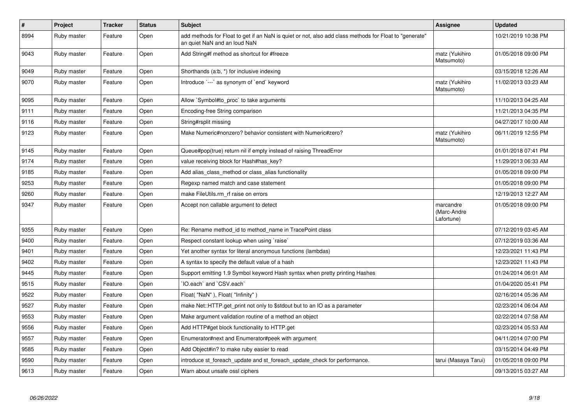| $\#$ | Project     | <b>Tracker</b> | <b>Status</b> | <b>Subject</b>                                                                                                                         | Assignee                               | <b>Updated</b>      |
|------|-------------|----------------|---------------|----------------------------------------------------------------------------------------------------------------------------------------|----------------------------------------|---------------------|
| 8994 | Ruby master | Feature        | Open          | "add methods for Float to get if an NaN is quiet or not, also add class methods for Float to "generate<br>an quiet NaN and an loud NaN |                                        | 10/21/2019 10:38 PM |
| 9043 | Ruby master | Feature        | Open          | Add String#f method as shortcut for #freeze                                                                                            | matz (Yukihiro<br>Matsumoto)           | 01/05/2018 09:00 PM |
| 9049 | Ruby master | Feature        | Open          | Shorthands (a:b, *) for inclusive indexing                                                                                             |                                        | 03/15/2018 12:26 AM |
| 9070 | Ruby master | Feature        | Open          | Introduce `---` as synonym of `end` keyword                                                                                            | matz (Yukihiro<br>Matsumoto)           | 11/02/2013 03:23 AM |
| 9095 | Ruby master | Feature        | Open          | Allow `Symbol#to_proc` to take arguments                                                                                               |                                        | 11/10/2013 04:25 AM |
| 9111 | Ruby master | Feature        | Open          | Encoding-free String comparison                                                                                                        |                                        | 11/21/2013 04:35 PM |
| 9116 | Ruby master | Feature        | Open          | String#rsplit missing                                                                                                                  |                                        | 04/27/2017 10:00 AM |
| 9123 | Ruby master | Feature        | Open          | Make Numeric#nonzero? behavior consistent with Numeric#zero?                                                                           | matz (Yukihiro<br>Matsumoto)           | 06/11/2019 12:55 PM |
| 9145 | Ruby master | Feature        | Open          | Queue#pop(true) return nil if empty instead of raising ThreadError                                                                     |                                        | 01/01/2018 07:41 PM |
| 9174 | Ruby master | Feature        | Open          | value receiving block for Hash#has_key?                                                                                                |                                        | 11/29/2013 06:33 AM |
| 9185 | Ruby master | Feature        | Open          | Add alias class method or class alias functionality                                                                                    |                                        | 01/05/2018 09:00 PM |
| 9253 | Ruby master | Feature        | Open          | Regexp named match and case statement                                                                                                  |                                        | 01/05/2018 09:00 PM |
| 9260 | Ruby master | Feature        | Open          | make FileUtils.rm rf raise on errors                                                                                                   |                                        | 12/19/2013 12:27 AM |
| 9347 | Ruby master | Feature        | Open          | Accept non callable argument to detect                                                                                                 | marcandre<br>(Marc-Andre<br>Lafortune) | 01/05/2018 09:00 PM |
| 9355 | Ruby master | Feature        | Open          | Re: Rename method id to method name in TracePoint class                                                                                |                                        | 07/12/2019 03:45 AM |
| 9400 | Ruby master | Feature        | Open          | Respect constant lookup when using `raise`                                                                                             |                                        | 07/12/2019 03:36 AM |
| 9401 | Ruby master | Feature        | Open          | Yet another syntax for literal anonymous functions (lambdas)                                                                           |                                        | 12/23/2021 11:43 PM |
| 9402 | Ruby master | Feature        | Open          | A syntax to specify the default value of a hash                                                                                        |                                        | 12/23/2021 11:43 PM |
| 9445 | Ruby master | Feature        | Open          | Support emitting 1.9 Symbol keyword Hash syntax when pretty printing Hashes                                                            |                                        | 01/24/2014 06:01 AM |
| 9515 | Ruby master | Feature        | Open          | IO.each`and `CSV.each`                                                                                                                 |                                        | 01/04/2020 05:41 PM |
| 9522 | Ruby master | Feature        | Open          | Float("NaN"), Float("Infinity")                                                                                                        |                                        | 02/16/2014 05:36 AM |
| 9527 | Ruby master | Feature        | Open          | make Net::HTTP.get_print not only to \$stdout but to an IO as a parameter                                                              |                                        | 02/23/2014 06:04 AM |
| 9553 | Ruby master | Feature        | Open          | Make argument validation routine of a method an object                                                                                 |                                        | 02/22/2014 07:58 AM |
| 9556 | Ruby master | Feature        | Open          | Add HTTP#get block functionality to HTTP.get                                                                                           |                                        | 02/23/2014 05:53 AM |
| 9557 | Ruby master | Feature        | Open          | Enumerator#next and Enumerator#peek with argument                                                                                      |                                        | 04/11/2014 07:00 PM |
| 9585 | Ruby master | Feature        | Open          | Add Object#in? to make ruby easier to read                                                                                             |                                        | 03/15/2014 04:49 PM |
| 9590 | Ruby master | Feature        | Open          | introduce st foreach update and st foreach update check for performance.                                                               | tarui (Masaya Tarui)                   | 01/05/2018 09:00 PM |
| 9613 | Ruby master | Feature        | Open          | Warn about unsafe ossl ciphers                                                                                                         |                                        | 09/13/2015 03:27 AM |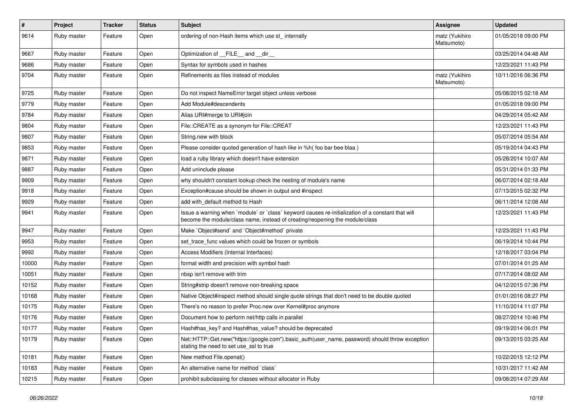| $\sharp$ | Project     | <b>Tracker</b> | <b>Status</b> | Subject                                                                                                                                                                           | Assignee                     | <b>Updated</b>      |
|----------|-------------|----------------|---------------|-----------------------------------------------------------------------------------------------------------------------------------------------------------------------------------|------------------------------|---------------------|
| 9614     | Ruby master | Feature        | Open          | ordering of non-Hash items which use st_ internally                                                                                                                               | matz (Yukihiro<br>Matsumoto) | 01/05/2018 09:00 PM |
| 9667     | Ruby master | Feature        | Open          | Optimization of FILE and dir                                                                                                                                                      |                              | 03/25/2014 04:48 AM |
| 9686     | Ruby master | Feature        | Open          | Syntax for symbols used in hashes                                                                                                                                                 |                              | 12/23/2021 11:43 PM |
| 9704     | Ruby master | Feature        | Open          | Refinements as files instead of modules                                                                                                                                           | matz (Yukihiro<br>Matsumoto) | 10/11/2016 06:36 PM |
| 9725     | Ruby master | Feature        | Open          | Do not inspect NameError target object unless verbose                                                                                                                             |                              | 05/08/2015 02:18 AM |
| 9779     | Ruby master | Feature        | Open          | Add Module#descendents                                                                                                                                                            |                              | 01/05/2018 09:00 PM |
| 9784     | Ruby master | Feature        | Open          | Alias URI#merge to URI#join                                                                                                                                                       |                              | 04/29/2014 05:42 AM |
| 9804     | Ruby master | Feature        | Open          | File::CREATE as a synonym for File::CREAT                                                                                                                                         |                              | 12/23/2021 11:43 PM |
| 9807     | Ruby master | Feature        | Open          | String.new with block                                                                                                                                                             |                              | 05/07/2014 05:54 AM |
| 9853     | Ruby master | Feature        | Open          | Please consider quoted generation of hash like in %h( foo bar bee blaa)                                                                                                           |                              | 05/19/2014 04:43 PM |
| 9871     | Ruby master | Feature        | Open          | load a ruby library which doesn't have extension                                                                                                                                  |                              | 05/28/2014 10:07 AM |
| 9887     | Ruby master | Feature        | Open          | Add uninclude please                                                                                                                                                              |                              | 05/31/2014 01:33 PM |
| 9909     | Ruby master | Feature        | Open          | why shouldn't constant lookup check the nesting of module's name                                                                                                                  |                              | 06/07/2014 02:18 AM |
| 9918     | Ruby master | Feature        | Open          | Exception#cause should be shown in output and #inspect                                                                                                                            |                              | 07/13/2015 02:32 PM |
| 9929     | Ruby master | Feature        | Open          | add with default method to Hash                                                                                                                                                   |                              | 06/11/2014 12:08 AM |
| 9941     | Ruby master | Feature        | Open          | Issue a warning when `module` or `class` keyword causes re-initialization of a constant that will<br>become the module/class name, instead of creating/reopening the module/class |                              | 12/23/2021 11:43 PM |
| 9947     | Ruby master | Feature        | Open          | Make `Object#send` and `Object#method` private                                                                                                                                    |                              | 12/23/2021 11:43 PM |
| 9953     | Ruby master | Feature        | Open          | set_trace_func values which could be frozen or symbols                                                                                                                            |                              | 06/19/2014 10:44 PM |
| 9992     | Ruby master | Feature        | Open          | Access Modifiers (Internal Interfaces)                                                                                                                                            |                              | 12/18/2017 03:04 PM |
| 10000    | Ruby master | Feature        | Open          | format width and precision with symbol hash                                                                                                                                       |                              | 07/01/2014 01:25 AM |
| 10051    | Ruby master | Feature        | Open          | nbsp isn't remove with trim                                                                                                                                                       |                              | 07/17/2014 08:02 AM |
| 10152    | Ruby master | Feature        | Open          | String#strip doesn't remove non-breaking space                                                                                                                                    |                              | 04/12/2015 07:36 PM |
| 10168    | Ruby master | Feature        | Open          | Native Object#inspect method should single quote strings that don't need to be double quoted                                                                                      |                              | 01/01/2016 08:27 PM |
| 10175    | Ruby master | Feature        | Open          | There's no reason to prefer Proc.new over Kernel#proc anymore                                                                                                                     |                              | 11/10/2014 11:07 PM |
| 10176    | Ruby master | Feature        | Open          | Document how to perform net/http calls in parallel                                                                                                                                |                              | 08/27/2014 10:46 PM |
| 10177    | Ruby master | Feature        | Open          | Hash#has_key? and Hash#has_value? should be deprecated                                                                                                                            |                              | 09/19/2014 06:01 PM |
| 10179    | Ruby master | Feature        | Open          | Net::HTTP::Get.new("https://google.com").basic_auth(user_name, password) should throw exception<br>stating the need to set use ssl to true                                        |                              | 09/13/2015 03:25 AM |
| 10181    | Ruby master | Feature        | Open          | New method File.openat()                                                                                                                                                          |                              | 10/22/2015 12:12 PM |
| 10183    | Ruby master | Feature        | Open          | An alternative name for method `class`                                                                                                                                            |                              | 10/31/2017 11:42 AM |
| 10215    | Ruby master | Feature        | Open          | prohibit subclassing for classes without allocator in Ruby                                                                                                                        |                              | 09/08/2014 07:29 AM |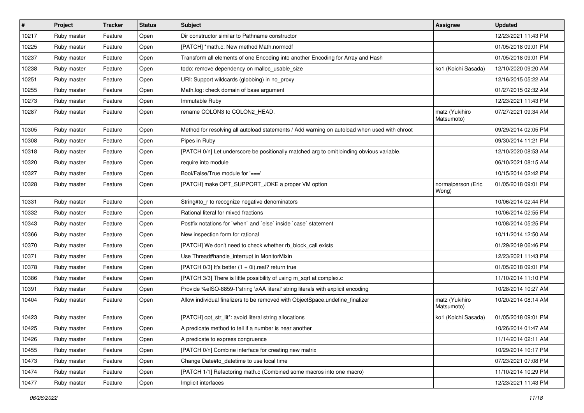| $\vert$ # | Project     | <b>Tracker</b> | <b>Status</b> | <b>Subject</b>                                                                               | <b>Assignee</b>              | <b>Updated</b>      |
|-----------|-------------|----------------|---------------|----------------------------------------------------------------------------------------------|------------------------------|---------------------|
| 10217     | Ruby master | Feature        | Open          | Dir constructor similar to Pathname constructor                                              |                              | 12/23/2021 11:43 PM |
| 10225     | Ruby master | Feature        | Open          | [PATCH] *math.c: New method Math.normcdf                                                     |                              | 01/05/2018 09:01 PM |
| 10237     | Ruby master | Feature        | Open          | Transform all elements of one Encoding into another Encoding for Array and Hash              |                              | 01/05/2018 09:01 PM |
| 10238     | Ruby master | Feature        | Open          | todo: remove dependency on malloc_usable_size                                                | ko1 (Koichi Sasada)          | 12/10/2020 09:20 AM |
| 10251     | Ruby master | Feature        | Open          | URI: Support wildcards (globbing) in no_proxy                                                |                              | 12/16/2015 05:22 AM |
| 10255     | Ruby master | Feature        | Open          | Math.log: check domain of base argument                                                      |                              | 01/27/2015 02:32 AM |
| 10273     | Ruby master | Feature        | Open          | Immutable Ruby                                                                               |                              | 12/23/2021 11:43 PM |
| 10287     | Ruby master | Feature        | Open          | rename COLON3 to COLON2_HEAD.                                                                | matz (Yukihiro<br>Matsumoto) | 07/27/2021 09:34 AM |
| 10305     | Ruby master | Feature        | Open          | Method for resolving all autoload statements / Add warning on autoload when used with chroot |                              | 09/29/2014 02:05 PM |
| 10308     | Ruby master | Feature        | Open          | Pipes in Ruby                                                                                |                              | 09/30/2014 11:21 PM |
| 10318     | Ruby master | Feature        | Open          | [PATCH 0/n] Let underscore be positionally matched arg to omit binding obvious variable.     |                              | 12/10/2020 08:53 AM |
| 10320     | Ruby master | Feature        | Open          | require into module                                                                          |                              | 06/10/2021 08:15 AM |
| 10327     | Ruby master | Feature        | Open          | Bool/False/True module for '==='                                                             |                              | 10/15/2014 02:42 PM |
| 10328     | Ruby master | Feature        | Open          | [PATCH] make OPT_SUPPORT_JOKE a proper VM option                                             | normalperson (Eric<br>Wong)  | 01/05/2018 09:01 PM |
| 10331     | Ruby master | Feature        | Open          | String#to_r to recognize negative denominators                                               |                              | 10/06/2014 02:44 PM |
| 10332     | Ruby master | Feature        | Open          | Rational literal for mixed fractions                                                         |                              | 10/06/2014 02:55 PM |
| 10343     | Ruby master | Feature        | Open          | Postfix notations for `when` and `else` inside `case` statement                              |                              | 10/08/2014 05:25 PM |
| 10366     | Ruby master | Feature        | Open          | New inspection form for rational                                                             |                              | 10/11/2014 12:50 AM |
| 10370     | Ruby master | Feature        | Open          | [PATCH] We don't need to check whether rb_block_call exists                                  |                              | 01/29/2019 06:46 PM |
| 10371     | Ruby master | Feature        | Open          | Use Thread#handle_interrupt in MonitorMixin                                                  |                              | 12/23/2021 11:43 PM |
| 10378     | Ruby master | Feature        | Open          | [PATCH 0/3] It's better (1 + 0i).real? return true                                           |                              | 01/05/2018 09:01 PM |
| 10386     | Ruby master | Feature        | Open          | [PATCH 3/3] There is little possibility of using m_sqrt at complex.c                         |                              | 11/10/2014 11:10 PM |
| 10391     | Ruby master | Feature        | Open          | Provide %eISO-8859-1'string \xAA literal' string literals with explicit encoding             |                              | 10/28/2014 10:27 AM |
| 10404     | Ruby master | Feature        | Open          | Allow individual finalizers to be removed with ObjectSpace.undefine_finalizer                | matz (Yukihiro<br>Matsumoto) | 10/20/2014 08:14 AM |
| 10423     | Ruby master | Feature        | Open          | [PATCH] opt_str_lit*: avoid literal string allocations                                       | ko1 (Koichi Sasada)          | 01/05/2018 09:01 PM |
| 10425     | Ruby master | Feature        | Open          | A predicate method to tell if a number is near another                                       |                              | 10/26/2014 01:47 AM |
| 10426     | Ruby master | Feature        | Open          | A predicate to express congruence                                                            |                              | 11/14/2014 02:11 AM |
| 10455     | Ruby master | Feature        | Open          | [PATCH 0/n] Combine interface for creating new matrix                                        |                              | 10/29/2014 10:17 PM |
| 10473     | Ruby master | Feature        | Open          | Change Date#to datetime to use local time                                                    |                              | 07/23/2021 07:08 PM |
| 10474     | Ruby master | Feature        | Open          | [PATCH 1/1] Refactoring math.c (Combined some macros into one macro)                         |                              | 11/10/2014 10:29 PM |
| 10477     | Ruby master | Feature        | Open          | Implicit interfaces                                                                          |                              | 12/23/2021 11:43 PM |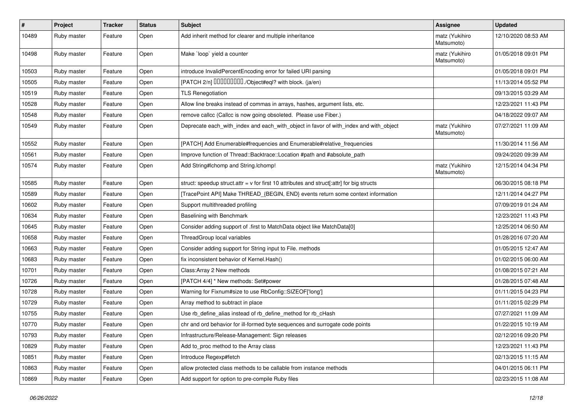| $\pmb{\#}$ | Project     | <b>Tracker</b> | <b>Status</b> | <b>Subject</b>                                                                              | <b>Assignee</b>              | <b>Updated</b>      |
|------------|-------------|----------------|---------------|---------------------------------------------------------------------------------------------|------------------------------|---------------------|
| 10489      | Ruby master | Feature        | Open          | Add inherit method for clearer and multiple inheritance                                     | matz (Yukihiro<br>Matsumoto) | 12/10/2020 08:53 AM |
| 10498      | Ruby master | Feature        | Open          | Make `loop` yield a counter                                                                 | matz (Yukihiro<br>Matsumoto) | 01/05/2018 09:01 PM |
| 10503      | Ruby master | Feature        | Open          | introduce InvalidPercentEncoding error for failed URI parsing                               |                              | 01/05/2018 09:01 PM |
| 10505      | Ruby master | Feature        | Open          | [PATCH 2/n] DDDDDDDD./Object#eql? with block. (ja/en)                                       |                              | 11/13/2014 05:52 PM |
| 10519      | Ruby master | Feature        | Open          | <b>TLS Renegotiation</b>                                                                    |                              | 09/13/2015 03:29 AM |
| 10528      | Ruby master | Feature        | Open          | Allow line breaks instead of commas in arrays, hashes, argument lists, etc.                 |                              | 12/23/2021 11:43 PM |
| 10548      | Ruby master | Feature        | Open          | remove callcc (Callcc is now going obsoleted. Please use Fiber.)                            |                              | 04/18/2022 09:07 AM |
| 10549      | Ruby master | Feature        | Open          | Deprecate each_with_index and each_with_object in favor of with_index and with_object       | matz (Yukihiro<br>Matsumoto) | 07/27/2021 11:09 AM |
| 10552      | Ruby master | Feature        | Open          | [PATCH] Add Enumerable#frequencies and Enumerable#relative_frequencies                      |                              | 11/30/2014 11:56 AM |
| 10561      | Ruby master | Feature        | Open          | Improve function of Thread::Backtrace::Location #path and #absolute_path                    |                              | 09/24/2020 09:39 AM |
| 10574      | Ruby master | Feature        | Open          | Add String#Ichomp and String.Ichomp!                                                        | matz (Yukihiro<br>Matsumoto) | 12/15/2014 04:34 PM |
| 10585      | Ruby master | Feature        | Open          | struct: speedup struct.attr = $v$ for first 10 attributes and struct[:attr] for big structs |                              | 06/30/2015 08:18 PM |
| 10589      | Ruby master | Feature        | Open          | [TracePoint API] Make THREAD_{BEGIN, END} events return some context information            |                              | 12/11/2014 04:27 PM |
| 10602      | Ruby master | Feature        | Open          | Support multithreaded profiling                                                             |                              | 07/09/2019 01:24 AM |
| 10634      | Ruby master | Feature        | Open          | Baselining with Benchmark                                                                   |                              | 12/23/2021 11:43 PM |
| 10645      | Ruby master | Feature        | Open          | Consider adding support of .first to MatchData object like MatchData[0]                     |                              | 12/25/2014 06:50 AM |
| 10658      | Ruby master | Feature        | Open          | ThreadGroup local variables                                                                 |                              | 01/28/2016 07:20 AM |
| 10663      | Ruby master | Feature        | Open          | Consider adding support for String input to File. methods                                   |                              | 01/05/2015 12:47 AM |
| 10683      | Ruby master | Feature        | Open          | fix inconsistent behavior of Kernel.Hash()                                                  |                              | 01/02/2015 06:00 AM |
| 10701      | Ruby master | Feature        | Open          | Class: Array 2 New methods                                                                  |                              | 01/08/2015 07:21 AM |
| 10726      | Ruby master | Feature        | Open          | [PATCH 4/4] * New methods: Set#power                                                        |                              | 01/28/2015 07:48 AM |
| 10728      | Ruby master | Feature        | Open          | Warning for Fixnum#size to use RbConfig::SIZEOF['long']                                     |                              | 01/11/2015 04:23 PM |
| 10729      | Ruby master | Feature        | Open          | Array method to subtract in place                                                           |                              | 01/11/2015 02:29 PM |
| 10755      | Ruby master | Feature        | Open          | Use rb_define_alias instead of rb_define_method for rb_cHash                                |                              | 07/27/2021 11:09 AM |
| 10770      | Ruby master | Feature        | Open          | chr and ord behavior for ill-formed byte sequences and surrogate code points                |                              | 01/22/2015 10:19 AM |
| 10793      | Ruby master | Feature        | Open          | Infrastructure/Release-Management: Sign releases                                            |                              | 02/12/2016 09:20 PM |
| 10829      | Ruby master | Feature        | Open          | Add to_proc method to the Array class                                                       |                              | 12/23/2021 11:43 PM |
| 10851      | Ruby master | Feature        | Open          | Introduce Regexp#fetch                                                                      |                              | 02/13/2015 11:15 AM |
| 10863      | Ruby master | Feature        | Open          | allow protected class methods to be callable from instance methods                          |                              | 04/01/2015 06:11 PM |
| 10869      | Ruby master | Feature        | Open          | Add support for option to pre-compile Ruby files                                            |                              | 02/23/2015 11:08 AM |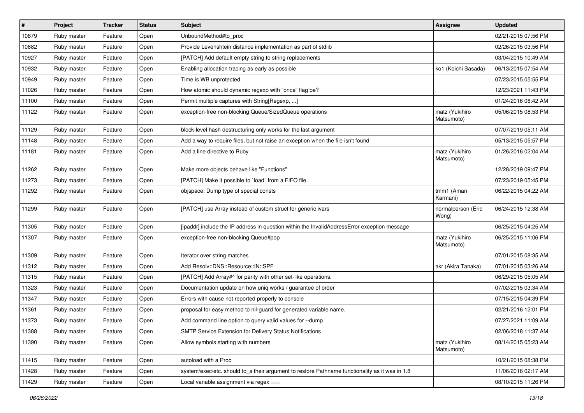| #     | Project     | <b>Tracker</b> | <b>Status</b> | <b>Subject</b>                                                                                 | <b>Assignee</b>              | <b>Updated</b>      |
|-------|-------------|----------------|---------------|------------------------------------------------------------------------------------------------|------------------------------|---------------------|
| 10879 | Ruby master | Feature        | Open          | UnboundMethod#to_proc                                                                          |                              | 02/21/2015 07:56 PM |
| 10882 | Ruby master | Feature        | Open          | Provide Levenshtein distance implementation as part of stdlib                                  |                              | 02/26/2015 03:56 PM |
| 10927 | Ruby master | Feature        | Open          | [PATCH] Add default empty string to string replacements                                        |                              | 03/04/2015 10:49 AM |
| 10932 | Ruby master | Feature        | Open          | Enabling allocation tracing as early as possible                                               | ko1 (Koichi Sasada)          | 06/13/2015 07:54 AM |
| 10949 | Ruby master | Feature        | Open          | Time is WB unprotected                                                                         |                              | 07/23/2015 05:55 PM |
| 11026 | Ruby master | Feature        | Open          | How atomic should dynamic regexp with "once" flag be?                                          |                              | 12/23/2021 11:43 PM |
| 11100 | Ruby master | Feature        | Open          | Permit multiple captures with String[Regexp, ]                                                 |                              | 01/24/2016 08:42 AM |
| 11122 | Ruby master | Feature        | Open          | exception-free non-blocking Queue/SizedQueue operations                                        | matz (Yukihiro<br>Matsumoto) | 05/06/2015 08:53 PM |
| 11129 | Ruby master | Feature        | Open          | block-level hash destructuring only works for the last argument                                |                              | 07/07/2019 05:11 AM |
| 11148 | Ruby master | Feature        | Open          | Add a way to require files, but not raise an exception when the file isn't found               |                              | 05/13/2015 05:57 PM |
| 11181 | Ruby master | Feature        | Open          | Add a line directive to Ruby                                                                   | matz (Yukihiro<br>Matsumoto) | 01/26/2016 02:04 AM |
| 11262 | Ruby master | Feature        | Open          | Make more objects behave like "Functions"                                                      |                              | 12/28/2019 09:47 PM |
| 11273 | Ruby master | Feature        | Open          | [PATCH] Make it possible to `load` from a FIFO file                                            |                              | 07/23/2019 05:45 PM |
| 11292 | Ruby master | Feature        | Open          | objspace: Dump type of special consts                                                          | tmm1 (Aman<br>Karmani)       | 06/22/2015 04:22 AM |
| 11299 | Ruby master | Feature        | Open          | [PATCH] use Array instead of custom struct for generic ivars                                   | normalperson (Eric<br>Wong)  | 06/24/2015 12:38 AM |
| 11305 | Ruby master | Feature        | Open          | [ipaddr] include the IP address in question within the InvalidAddressError exception message   |                              | 06/25/2015 04:25 AM |
| 11307 | Ruby master | Feature        | Open          | exception-free non-blocking Queue#pop                                                          | matz (Yukihiro<br>Matsumoto) | 06/25/2015 11:06 PM |
| 11309 | Ruby master | Feature        | Open          | Iterator over string matches                                                                   |                              | 07/01/2015 08:35 AM |
| 11312 | Ruby master | Feature        | Open          | Add Resolv::DNS::Resource::IN::SPF                                                             | akr (Akira Tanaka)           | 07/01/2015 03:26 AM |
| 11315 | Ruby master | Feature        | Open          | [PATCH] Add Array#^ for parity with other set-like operations.                                 |                              | 06/29/2015 05:05 AM |
| 11323 | Ruby master | Feature        | Open          | Documentation update on how uniq works / guarantee of order                                    |                              | 07/02/2015 03:34 AM |
| 11347 | Ruby master | Feature        | Open          | Errors with cause not reported properly to console                                             |                              | 07/15/2015 04:39 PM |
| 11361 | Ruby master | Feature        | Open          | proposal for easy method to nil-guard for generated variable name.                             |                              | 02/21/2016 12:01 PM |
| 11373 | Ruby master | Feature        | Open          | Add command line option to query valid values for --dump                                       |                              | 07/27/2021 11:09 AM |
| 11388 | Ruby master | Feature        | Open          | SMTP Service Extension for Delivery Status Notifications                                       |                              | 02/06/2018 11:37 AM |
| 11390 | Ruby master | Feature        | Open          | Allow symbols starting with numbers                                                            | matz (Yukihiro<br>Matsumoto) | 08/14/2015 05:23 AM |
| 11415 | Ruby master | Feature        | Open          | autoload with a Proc                                                                           |                              | 10/21/2015 08:38 PM |
| 11428 | Ruby master | Feature        | Open          | system/exec/etc. should to s their argument to restore Pathname functionality as it was in 1.8 |                              | 11/06/2016 02:17 AM |
| 11429 | Ruby master | Feature        | Open          | Local variable assignment via regex $==$                                                       |                              | 08/10/2015 11:26 PM |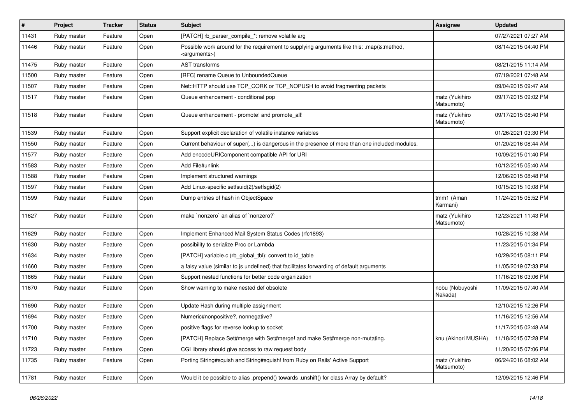| $\vert$ # | Project     | <b>Tracker</b> | <b>Status</b> | <b>Subject</b>                                                                                                        | Assignee                     | <b>Updated</b>      |
|-----------|-------------|----------------|---------------|-----------------------------------------------------------------------------------------------------------------------|------------------------------|---------------------|
| 11431     | Ruby master | Feature        | Open          | [PATCH] rb_parser_compile_*: remove volatile arg                                                                      |                              | 07/27/2021 07:27 AM |
| 11446     | Ruby master | Feature        | Open          | Possible work around for the requirement to supplying arguments like this: .map(&:method,<br><arguments>)</arguments> |                              | 08/14/2015 04:40 PM |
| 11475     | Ruby master | Feature        | Open          | <b>AST</b> transforms                                                                                                 |                              | 08/21/2015 11:14 AM |
| 11500     | Ruby master | Feature        | Open          | [RFC] rename Queue to UnboundedQueue                                                                                  |                              | 07/19/2021 07:48 AM |
| 11507     | Ruby master | Feature        | Open          | Net::HTTP should use TCP CORK or TCP NOPUSH to avoid fragmenting packets                                              |                              | 09/04/2015 09:47 AM |
| 11517     | Ruby master | Feature        | Open          | Queue enhancement - conditional pop                                                                                   | matz (Yukihiro<br>Matsumoto) | 09/17/2015 09:02 PM |
| 11518     | Ruby master | Feature        | Open          | Queue enhancement - promote! and promote_all!                                                                         | matz (Yukihiro<br>Matsumoto) | 09/17/2015 08:40 PM |
| 11539     | Ruby master | Feature        | Open          | Support explicit declaration of volatile instance variables                                                           |                              | 01/26/2021 03:30 PM |
| 11550     | Ruby master | Feature        | Open          | Current behaviour of super() is dangerous in the presence of more than one included modules.                          |                              | 01/20/2016 08:44 AM |
| 11577     | Ruby master | Feature        | Open          | Add encodeURIComponent compatible API for URI                                                                         |                              | 10/09/2015 01:40 PM |
| 11583     | Ruby master | Feature        | Open          | Add File#unlink                                                                                                       |                              | 10/12/2015 05:40 AM |
| 11588     | Ruby master | Feature        | Open          | Implement structured warnings                                                                                         |                              | 12/06/2015 08:48 PM |
| 11597     | Ruby master | Feature        | Open          | Add Linux-specific setfsuid(2)/setfsgid(2)                                                                            |                              | 10/15/2015 10:08 PM |
| 11599     | Ruby master | Feature        | Open          | Dump entries of hash in ObjectSpace                                                                                   | tmm1 (Aman<br>Karmani)       | 11/24/2015 05:52 PM |
| 11627     | Ruby master | Feature        | Open          | make `nonzero` an alias of `nonzero?`                                                                                 | matz (Yukihiro<br>Matsumoto) | 12/23/2021 11:43 PM |
| 11629     | Ruby master | Feature        | Open          | Implement Enhanced Mail System Status Codes (rfc1893)                                                                 |                              | 10/28/2015 10:38 AM |
| 11630     | Ruby master | Feature        | Open          | possibility to serialize Proc or Lambda                                                                               |                              | 11/23/2015 01:34 PM |
| 11634     | Ruby master | Feature        | Open          | [PATCH] variable.c (rb_global_tbl): convert to id_table                                                               |                              | 10/29/2015 08:11 PM |
| 11660     | Ruby master | Feature        | Open          | a falsy value (similar to js undefined) that facilitates forwarding of default arguments                              |                              | 11/05/2019 07:33 PM |
| 11665     | Ruby master | Feature        | Open          | Support nested functions for better code organization                                                                 |                              | 11/16/2016 03:06 PM |
| 11670     | Ruby master | Feature        | Open          | Show warning to make nested def obsolete                                                                              | nobu (Nobuyoshi<br>Nakada)   | 11/09/2015 07:40 AM |
| 11690     | Ruby master | Feature        | Open          | Update Hash during multiple assignment                                                                                |                              | 12/10/2015 12:26 PM |
| 11694     | Ruby master | Feature        | Open          | Numeric#nonpositive?, nonnegative?                                                                                    |                              | 11/16/2015 12:56 AM |
| 11700     | Ruby master | Feature        | Open          | positive flags for reverse lookup to socket                                                                           |                              | 11/17/2015 02:48 AM |
| 11710     | Ruby master | Feature        | Open          | [PATCH] Replace Set#merge with Set#merge! and make Set#merge non-mutating.                                            | knu (Akinori MUSHA)          | 11/18/2015 07:28 PM |
| 11723     | Ruby master | Feature        | Open          | CGI library should give access to raw request body                                                                    |                              | 11/20/2015 07:06 PM |
| 11735     | Ruby master | Feature        | Open          | Porting String#squish and String#squish! from Ruby on Rails' Active Support                                           | matz (Yukihiro<br>Matsumoto) | 06/24/2016 08:02 AM |
| 11781     | Ruby master | Feature        | Open          | Would it be possible to alias .prepend() towards .unshift() for class Array by default?                               |                              | 12/09/2015 12:46 PM |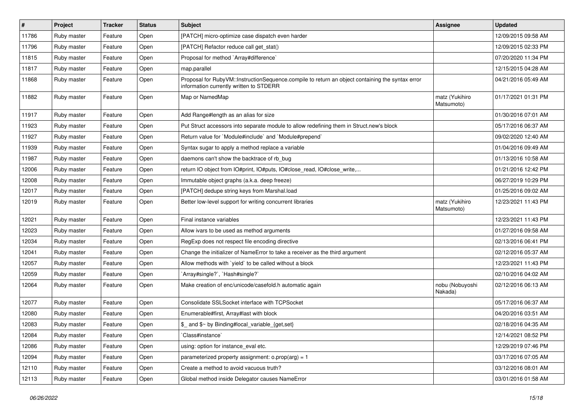| $\vert$ # | Project     | <b>Tracker</b> | <b>Status</b> | <b>Subject</b>                                                                                                                              | <b>Assignee</b>              | <b>Updated</b>      |
|-----------|-------------|----------------|---------------|---------------------------------------------------------------------------------------------------------------------------------------------|------------------------------|---------------------|
| 11786     | Ruby master | Feature        | Open          | [PATCH] micro-optimize case dispatch even harder                                                                                            |                              | 12/09/2015 09:58 AM |
| 11796     | Ruby master | Feature        | Open          | [PATCH] Refactor reduce call get_stat()                                                                                                     |                              | 12/09/2015 02:33 PM |
| 11815     | Ruby master | Feature        | Open          | Proposal for method `Array#difference`                                                                                                      |                              | 07/20/2020 11:34 PM |
| 11817     | Ruby master | Feature        | Open          | map.parallel                                                                                                                                |                              | 12/15/2015 04:28 AM |
| 11868     | Ruby master | Feature        | Open          | Proposal for RubyVM::InstructionSequence.compile to return an object containing the syntax error<br>information currently written to STDERR |                              | 04/21/2016 05:49 AM |
| 11882     | Ruby master | Feature        | Open          | Map or NamedMap                                                                                                                             | matz (Yukihiro<br>Matsumoto) | 01/17/2021 01:31 PM |
| 11917     | Ruby master | Feature        | Open          | Add Range#length as an alias for size                                                                                                       |                              | 01/30/2016 07:01 AM |
| 11923     | Ruby master | Feature        | Open          | Put Struct accessors into separate module to allow redefining them in Struct.new's block                                                    |                              | 05/17/2016 06:37 AM |
| 11927     | Ruby master | Feature        | Open          | Return value for `Module#include` and `Module#prepend`                                                                                      |                              | 09/02/2020 12:40 AM |
| 11939     | Ruby master | Feature        | Open          | Syntax sugar to apply a method replace a variable                                                                                           |                              | 01/04/2016 09:49 AM |
| 11987     | Ruby master | Feature        | Open          | daemons can't show the backtrace of rb bug                                                                                                  |                              | 01/13/2016 10:58 AM |
| 12006     | Ruby master | Feature        | Open          | return IO object from IO#print, IO#puts, IO#close_read, IO#close_write,                                                                     |                              | 01/21/2016 12:42 PM |
| 12008     | Ruby master | Feature        | Open          | Immutable object graphs (a.k.a. deep freeze)                                                                                                |                              | 06/27/2019 10:29 PM |
| 12017     | Ruby master | Feature        | Open          | [PATCH] dedupe string keys from Marshal.load                                                                                                |                              | 01/25/2016 09:02 AM |
| 12019     | Ruby master | Feature        | Open          | Better low-level support for writing concurrent libraries                                                                                   | matz (Yukihiro<br>Matsumoto) | 12/23/2021 11:43 PM |
| 12021     | Ruby master | Feature        | Open          | Final instance variables                                                                                                                    |                              | 12/23/2021 11:43 PM |
| 12023     | Ruby master | Feature        | Open          | Allow ivars to be used as method arguments                                                                                                  |                              | 01/27/2016 09:58 AM |
| 12034     | Ruby master | Feature        | Open          | RegExp does not respect file encoding directive                                                                                             |                              | 02/13/2016 06:41 PM |
| 12041     | Ruby master | Feature        | Open          | Change the initializer of NameError to take a receiver as the third argument                                                                |                              | 02/12/2016 05:37 AM |
| 12057     | Ruby master | Feature        | Open          | Allow methods with 'yield' to be called without a block                                                                                     |                              | 12/23/2021 11:43 PM |
| 12059     | Ruby master | Feature        | Open          | Array#single?`, `Hash#single?`                                                                                                              |                              | 02/10/2016 04:02 AM |
| 12064     | Ruby master | Feature        | Open          | Make creation of enc/unicode/casefold.h automatic again                                                                                     | nobu (Nobuyoshi<br>Nakada)   | 02/12/2016 06:13 AM |
| 12077     | Ruby master | Feature        | Open          | Consolidate SSLSocket interface with TCPSocket                                                                                              |                              | 05/17/2016 06:37 AM |
| 12080     | Ruby master | Feature        | Open          | Enumerable#first, Array#last with block                                                                                                     |                              | 04/20/2016 03:51 AM |
| 12083     | Ruby master | Feature        | Open          | \$_ and \$~ by Binding#local_variable_{get,set}                                                                                             |                              | 02/18/2016 04:35 AM |
| 12084     | Ruby master | Feature        | Open          | Class#instance`                                                                                                                             |                              | 12/14/2021 08:52 PM |
| 12086     | Ruby master | Feature        | Open          | using: option for instance_eval etc.                                                                                                        |                              | 12/29/2019 07:46 PM |
| 12094     | Ruby master | Feature        | Open          | parameterized property assignment: $o.pop(arg) = 1$                                                                                         |                              | 03/17/2016 07:05 AM |
| 12110     | Ruby master | Feature        | Open          | Create a method to avoid vacuous truth?                                                                                                     |                              | 03/12/2016 08:01 AM |
| 12113     | Ruby master | Feature        | Open          | Global method inside Delegator causes NameError                                                                                             |                              | 03/01/2016 01:58 AM |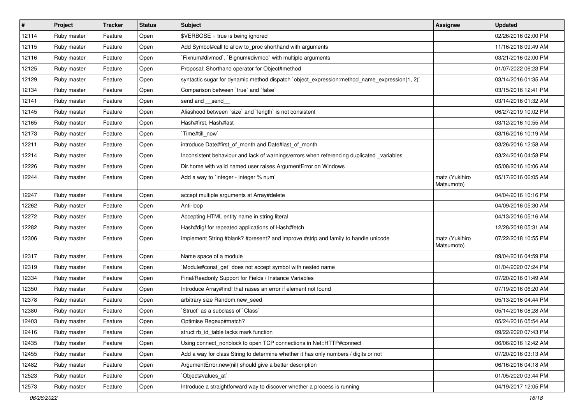| $\sharp$ | Project     | <b>Tracker</b> | <b>Status</b> | <b>Subject</b>                                                                               | <b>Assignee</b>              | <b>Updated</b>      |
|----------|-------------|----------------|---------------|----------------------------------------------------------------------------------------------|------------------------------|---------------------|
| 12114    | Ruby master | Feature        | Open          | \$VERBOSE = true is being ignored                                                            |                              | 02/26/2016 02:00 PM |
| 12115    | Ruby master | Feature        | Open          | Add Symbol#call to allow to_proc shorthand with arguments                                    |                              | 11/16/2018 09:49 AM |
| 12116    | Ruby master | Feature        | Open          | Fixnum#divmod`, `Bignum#divmod` with multiple arguments                                      |                              | 03/21/2016 02:00 PM |
| 12125    | Ruby master | Feature        | Open          | Proposal: Shorthand operator for Object#method                                               |                              | 01/07/2022 06:23 PM |
| 12129    | Ruby master | Feature        | Open          | syntactic sugar for dynamic method dispatch `object_expression:method_name_expression(1, 2)` |                              | 03/14/2016 01:35 AM |
| 12134    | Ruby master | Feature        | Open          | Comparison between 'true' and 'false'                                                        |                              | 03/15/2016 12:41 PM |
| 12141    | Ruby master | Feature        | Open          | send and __send_                                                                             |                              | 03/14/2016 01:32 AM |
| 12145    | Ruby master | Feature        | Open          | Aliashood between 'size' and 'length' is not consistent                                      |                              | 06/27/2019 10:02 PM |
| 12165    | Ruby master | Feature        | Open          | Hash#first, Hash#last                                                                        |                              | 03/12/2016 10:55 AM |
| 12173    | Ruby master | Feature        | Open          | Time#till_now`                                                                               |                              | 03/16/2016 10:19 AM |
| 12211    | Ruby master | Feature        | Open          | introduce Date#first of month and Date#last of month                                         |                              | 03/26/2016 12:58 AM |
| 12214    | Ruby master | Feature        | Open          | Inconsistent behaviour and lack of warnings/errors when referencing duplicated _variables    |                              | 03/24/2016 04:58 PM |
| 12226    | Ruby master | Feature        | Open          | Dir.home with valid named user raises ArgumentError on Windows                               |                              | 05/08/2016 10:06 AM |
| 12244    | Ruby master | Feature        | Open          | Add a way to 'integer - integer % num'                                                       | matz (Yukihiro<br>Matsumoto) | 05/17/2016 06:05 AM |
| 12247    | Ruby master | Feature        | Open          | accept multiple arguments at Array#delete                                                    |                              | 04/04/2016 10:16 PM |
| 12262    | Ruby master | Feature        | Open          | Anti-loop                                                                                    |                              | 04/09/2016 05:30 AM |
| 12272    | Ruby master | Feature        | Open          | Accepting HTML entity name in string literal                                                 |                              | 04/13/2016 05:16 AM |
| 12282    | Ruby master | Feature        | Open          | Hash#dig! for repeated applications of Hash#fetch                                            |                              | 12/28/2018 05:31 AM |
| 12306    | Ruby master | Feature        | Open          | Implement String #blank? #present? and improve #strip and family to handle unicode           | matz (Yukihiro<br>Matsumoto) | 07/22/2018 10:55 PM |
| 12317    | Ruby master | Feature        | Open          | Name space of a module                                                                       |                              | 09/04/2016 04:59 PM |
| 12319    | Ruby master | Feature        | Open          | Module#const_get` does not accept symbol with nested name                                    |                              | 01/04/2020 07:24 PM |
| 12334    | Ruby master | Feature        | Open          | Final/Readonly Support for Fields / Instance Variables                                       |                              | 07/20/2016 01:49 AM |
| 12350    | Ruby master | Feature        | Open          | Introduce Array#find! that raises an error if element not found                              |                              | 07/19/2016 06:20 AM |
| 12378    | Ruby master | Feature        | Open          | arbitrary size Random.new_seed                                                               |                              | 05/13/2016 04:44 PM |
| 12380    | Ruby master | Feature        | Open          | 'Struct' as a subclass of 'Class'                                                            |                              | 05/14/2016 08:28 AM |
| 12403    | Ruby master | Feature        | Open          | Optimise Regexp#match?                                                                       |                              | 05/24/2016 05:54 AM |
| 12416    | Ruby master | Feature        | Open          | struct rb_id_table lacks mark function                                                       |                              | 09/22/2020 07:43 PM |
| 12435    | Ruby master | Feature        | Open          | Using connect_nonblock to open TCP connections in Net::HTTP#connect                          |                              | 06/06/2016 12:42 AM |
| 12455    | Ruby master | Feature        | Open          | Add a way for class String to determine whether it has only numbers / digits or not          |                              | 07/20/2016 03:13 AM |
| 12482    | Ruby master | Feature        | Open          | ArgumentError.new(nil) should give a better description                                      |                              | 06/16/2016 04:18 AM |
| 12523    | Ruby master | Feature        | Open          | Object#values_at`                                                                            |                              | 01/05/2020 03:44 PM |
| 12573    | Ruby master | Feature        | Open          | Introduce a straightforward way to discover whether a process is running                     |                              | 04/19/2017 12:05 PM |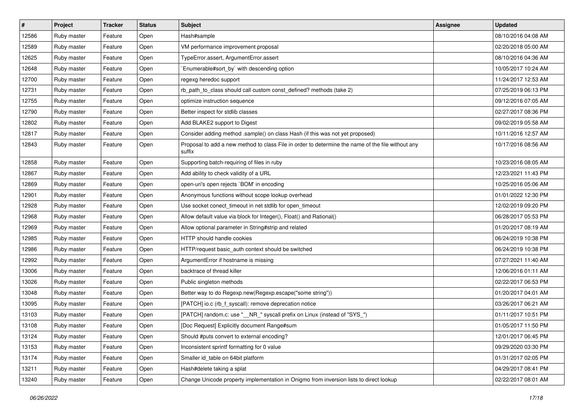| $\sharp$ | Project     | <b>Tracker</b> | <b>Status</b> | Subject                                                                                                     | <b>Assignee</b> | <b>Updated</b>      |
|----------|-------------|----------------|---------------|-------------------------------------------------------------------------------------------------------------|-----------------|---------------------|
| 12586    | Ruby master | Feature        | Open          | Hash#sample                                                                                                 |                 | 08/10/2016 04:08 AM |
| 12589    | Ruby master | Feature        | Open          | VM performance improvement proposal                                                                         |                 | 02/20/2018 05:00 AM |
| 12625    | Ruby master | Feature        | Open          | TypeError.assert, ArgumentError.assert                                                                      |                 | 08/10/2016 04:36 AM |
| 12648    | Ruby master | Feature        | Open          | Enumerable#sort_by` with descending option                                                                  |                 | 10/05/2017 10:24 AM |
| 12700    | Ruby master | Feature        | Open          | regexg heredoc support                                                                                      |                 | 11/24/2017 12:53 AM |
| 12731    | Ruby master | Feature        | Open          | rb_path_to_class should call custom const_defined? methods (take 2)                                         |                 | 07/25/2019 06:13 PM |
| 12755    | Ruby master | Feature        | Open          | optimize instruction sequence                                                                               |                 | 09/12/2016 07:05 AM |
| 12790    | Ruby master | Feature        | Open          | Better inspect for stdlib classes                                                                           |                 | 02/27/2017 08:36 PM |
| 12802    | Ruby master | Feature        | Open          | Add BLAKE2 support to Digest                                                                                |                 | 09/02/2019 05:58 AM |
| 12817    | Ruby master | Feature        | Open          | Consider adding method .sample() on class Hash (if this was not yet proposed)                               |                 | 10/11/2016 12:57 AM |
| 12843    | Ruby master | Feature        | Open          | Proposal to add a new method to class File in order to determine the name of the file without any<br>suffix |                 | 10/17/2016 08:56 AM |
| 12858    | Ruby master | Feature        | Open          | Supporting batch-requiring of files in ruby                                                                 |                 | 10/23/2016 08:05 AM |
| 12867    | Ruby master | Feature        | Open          | Add ability to check validity of a URL                                                                      |                 | 12/23/2021 11:43 PM |
| 12869    | Ruby master | Feature        | Open          | open-uri's open rejects `BOM' in encoding                                                                   |                 | 10/25/2016 05:06 AM |
| 12901    | Ruby master | Feature        | Open          | Anonymous functions without scope lookup overhead                                                           |                 | 01/01/2022 12:30 PM |
| 12928    | Ruby master | Feature        | Open          | Use socket conect_timeout in net stdlib for open_timeout                                                    |                 | 12/02/2019 09:20 PM |
| 12968    | Ruby master | Feature        | Open          | Allow default value via block for Integer(), Float() and Rational()                                         |                 | 06/28/2017 05:53 PM |
| 12969    | Ruby master | Feature        | Open          | Allow optional parameter in String#strip and related                                                        |                 | 01/20/2017 08:19 AM |
| 12985    | Ruby master | Feature        | Open          | HTTP should handle cookies                                                                                  |                 | 06/24/2019 10:38 PM |
| 12986    | Ruby master | Feature        | Open          | HTTP/request basic_auth context should be switched                                                          |                 | 06/24/2019 10:38 PM |
| 12992    | Ruby master | Feature        | Open          | ArgumentError if hostname is missing                                                                        |                 | 07/27/2021 11:40 AM |
| 13006    | Ruby master | Feature        | Open          | backtrace of thread killer                                                                                  |                 | 12/06/2016 01:11 AM |
| 13026    | Ruby master | Feature        | Open          | Public singleton methods                                                                                    |                 | 02/22/2017 06:53 PM |
| 13048    | Ruby master | Feature        | Open          | Better way to do Regexp.new(Regexp.escape("some string"))                                                   |                 | 01/20/2017 04:01 AM |
| 13095    | Ruby master | Feature        | Open          | [PATCH] io.c (rb_f_syscall): remove deprecation notice                                                      |                 | 03/26/2017 06:21 AM |
| 13103    | Ruby master | Feature        | Open          | [PATCH] random.c: use "__NR_" syscall prefix on Linux (instead of "SYS_")                                   |                 | 01/11/2017 10:51 PM |
| 13108    | Ruby master | Feature        | Open          | [Doc Request] Explicitly document Range#sum                                                                 |                 | 01/05/2017 11:50 PM |
| 13124    | Ruby master | Feature        | Open          | Should #puts convert to external encoding?                                                                  |                 | 12/01/2017 06:45 PM |
| 13153    | Ruby master | Feature        | Open          | Inconsistent sprintf formatting for 0 value                                                                 |                 | 09/29/2020 03:30 PM |
| 13174    | Ruby master | Feature        | Open          | Smaller id_table on 64bit platform                                                                          |                 | 01/31/2017 02:05 PM |
| 13211    | Ruby master | Feature        | Open          | Hash#delete taking a splat                                                                                  |                 | 04/29/2017 08:41 PM |
| 13240    | Ruby master | Feature        | Open          | Change Unicode property implementation in Onigmo from inversion lists to direct lookup                      |                 | 02/22/2017 08:01 AM |